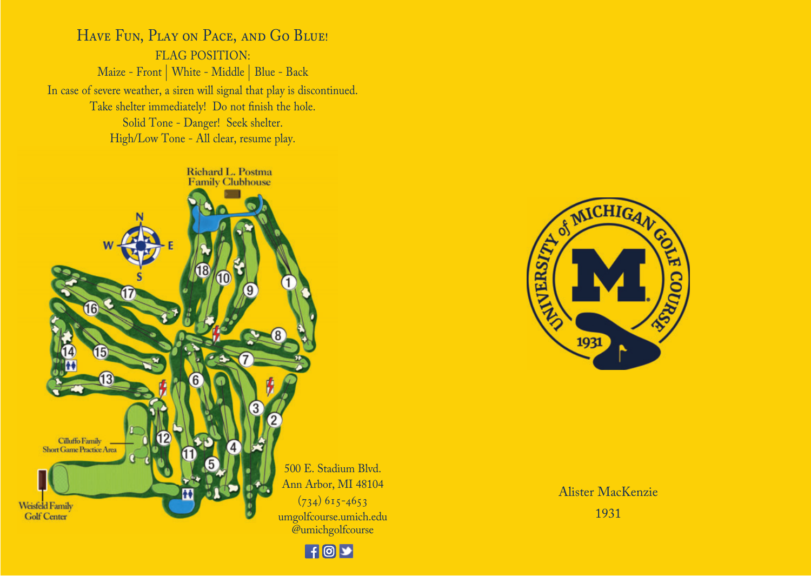HAVE FUN, PLAY ON PACE, AND GO BLUE! FLAG POSITION: Maize - Front | White - Middle | Blue - Back In case of severe weather, a siren will signal that play is discontinued. Take shelter immediately! Do not finish the hole. Solid Tone - Danger! Seek shelter. High/Low Tone - All clear, resume play.







Alister MacKenzie 1931